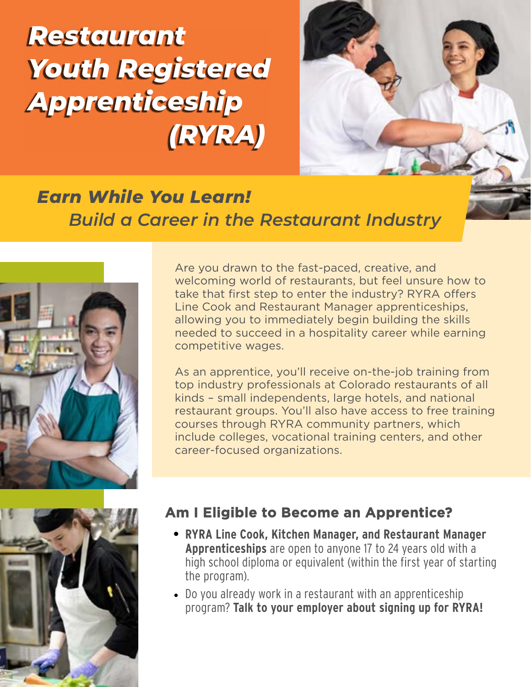*Restaurant Youth Registered Apprenticeship (RYRA)*



# *Earn While You Learn! Build a Career in the Restaurant Industry*





Are you drawn to the fast-paced, creative, and welcoming world of restaurants, but feel unsure how to take that first step to enter the industry? RYRA offers Line Cook and Restaurant Manager apprenticeships, allowing you to immediately begin building the skills needed to succeed in a hospitality career while earning competitive wages.

As an apprentice, you'll receive on-the-job training from top industry professionals at Colorado restaurants of all kinds – small independents, large hotels, and national restaurant groups. You'll also have access to free training courses through RYRA community partners, which include colleges, vocational training centers, and other career-focused organizations.

### **Am I Eligible to Become an Apprentice?**

- **• RYRA Line Cook, Kitchen Manager, and Restaurant Manager Apprenticeships** are open to anyone 17 to 24 years old with a high school diploma or equivalent (within the first year of starting the program).
- Do you already work in a restaurant with an apprenticeship program? **Talk to your employer about signing up for RYRA!**